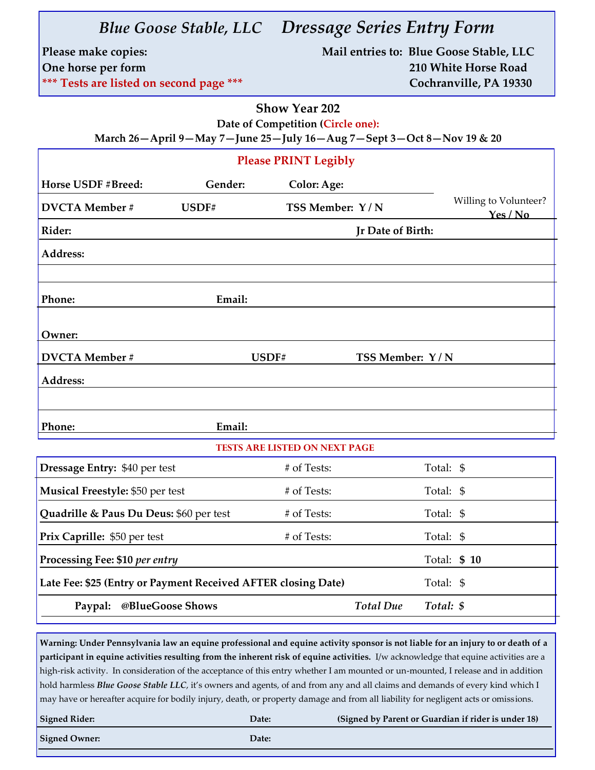| Please make copies:<br>One horse per form<br>*** Tests are listed on second page ***                                               |                    |                  | Mail entries to: Blue Goose Stable, LLC<br>210 White Horse Road<br>Cochranville, PA 19330 |  |
|------------------------------------------------------------------------------------------------------------------------------------|--------------------|------------------|-------------------------------------------------------------------------------------------|--|
| <b>Show Year 202</b><br>Date of Competition (Circle one):<br>March 26-April 9-May 7-June 25-July 16-Aug 7-Sept 3-Oct 8-Nov 19 & 20 |                    |                  |                                                                                           |  |
| <b>Please PRINT Legibly</b>                                                                                                        |                    |                  |                                                                                           |  |
| Horse USDF #Breed:<br>Gender:                                                                                                      | <b>Color: Age:</b> |                  |                                                                                           |  |
| <b>DVCTA</b> Member #<br>USDF#                                                                                                     | TSS Member: Y/N    |                  | Willing to Volunteer?<br>Yes/No                                                           |  |
| Rider:                                                                                                                             | Jr Date of Birth:  |                  |                                                                                           |  |
| Address:                                                                                                                           |                    |                  |                                                                                           |  |
|                                                                                                                                    |                    |                  |                                                                                           |  |
| Phone:<br>Email:                                                                                                                   |                    |                  |                                                                                           |  |
| Owner:                                                                                                                             |                    |                  |                                                                                           |  |
| <b>DVCTA</b> Member #                                                                                                              | USDF#              | TSS Member: Y/N  |                                                                                           |  |
| Address:                                                                                                                           |                    |                  |                                                                                           |  |
|                                                                                                                                    |                    |                  |                                                                                           |  |
| Email:<br>Phone:                                                                                                                   |                    |                  |                                                                                           |  |
| <b>TESTS ARE LISTED ON NEXT PAGE</b>                                                                                               |                    |                  |                                                                                           |  |
| Dressage Entry: \$40 per test                                                                                                      | # of Tests:        |                  | Total: \$                                                                                 |  |
| Musical Freestyle: \$50 per test                                                                                                   | # of Tests:        |                  | Total: \$                                                                                 |  |
| Quadrille & Paus Du Deus: \$60 per test                                                                                            | # of Tests:        |                  | Total: \$                                                                                 |  |
| Prix Caprille: \$50 per test                                                                                                       | # of Tests:        |                  | Total: \$                                                                                 |  |
| Processing Fee: \$10 per entry                                                                                                     |                    |                  | Total: \$ 10                                                                              |  |
| Late Fee: \$25 (Entry or Payment Received AFTER closing Date)<br>Total: \$                                                         |                    |                  |                                                                                           |  |
| @BlueGoose Shows<br>Paypal:                                                                                                        |                    | <b>Total Due</b> | Total: \$                                                                                 |  |
|                                                                                                                                    |                    |                  |                                                                                           |  |

*Blue Goose Stable, LLC Dressage Series Entry Form*

**Warning: Under Pennsylvania law an equine professional and equine activity sponsor is not liable for an injury to or death of a participant in equine activities resulting from the inherent risk of equine activities.** I/w acknowledge that equine activities are a high-risk activity. In consideration of the acceptance of this entry whether I am mounted or un-mounted, I release and in addition hold harmless *Blue Goose Stable LLC*, it's owners and agents, of and from any and all claims and demands of every kind which I may have or hereafter acquire for bodily injury, death, or property damage and from all liability for negligent acts or omissions.

| <b>Signed Rider:</b> | Date: | (Signed by Parent or Guardian if rider is under 18) |
|----------------------|-------|-----------------------------------------------------|
| <b>Signed Owner:</b> | Date: |                                                     |